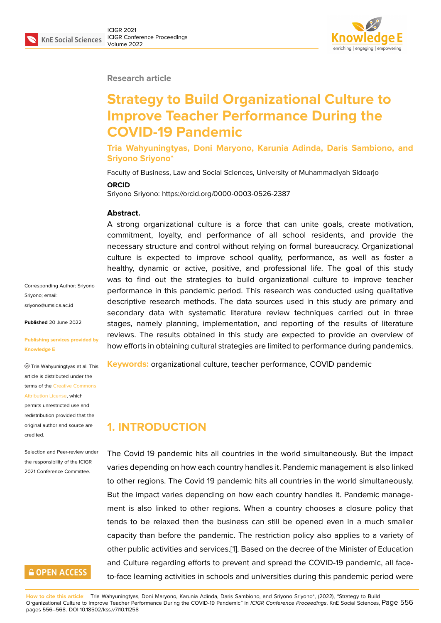**Research article**

# **Strategy to Build Organizational Culture to Improve Teacher Performance During the COVID-19 Pandemic**

**Tria Wahyuningtyas, Doni Maryono, Karunia Adinda, Daris Sambiono, and Sriyono Sriyono\***

Faculty of Business, Law and Social Sciences, University of Muhammadiyah Sidoarjo

#### **ORCID**

Sriyono Sriyono: https://orcid.org/0000-0003-0526-2387

#### **Abstract.**

A strong organizational culture is a force that can unite goals, create motivation, commitment, loyalty, and performance of all school residents, and provide the necessary structure and control without relying on formal bureaucracy. Organizational culture is expected to improve school quality, performance, as well as foster a healthy, dynamic or active, positive, and professional life. The goal of this study was to find out the strategies to build organizational culture to improve teacher performance in this pandemic period. This research was conducted using qualitative descriptive research methods. The data sources used in this study are primary and secondary data with systematic literature review techniques carried out in three stages, namely planning, implementation, and reporting of the results of literature reviews. The results obtained in this study are expected to provide an overview of how efforts in obtaining cultural strategies are limited to performance during pandemics.

**Keywords:** organizational culture, teacher performance, COVID pandemic

## **1. INTRODUCTION**

The Covid 19 pandemic hits all countries in the world simultaneously. But the impact varies depending on how each country handles it. Pandemic management is also linked to other regions. The Covid 19 pandemic hits all countries in the world simultaneously. But the impact varies depending on how each country handles it. Pandemic management is also linked to other regions. When a country chooses a closure policy that tends to be relaxed then the business can still be opened even in a much smaller capacity than before the pandemic. The restriction policy also applies to a variety of other public activities and services.[1]. Based on the decree of the Minister of Education and Culture regarding efforts to prevent and spread the COVID-19 pandemic, all faceto-face learning activities in schools and universities during this pandemic period were

**How to cite this article**: Tria Wahyuningtyas, Doni Maryono, Karunia Adinda, Daris Sambiono, and Sriyono Sriyono\*, (2022), "Strategy to Build Organizational Culture to Improve Teacher Performance During the COVID-19 Pandemic" in *ICIGR Conference Proceedings*, KnE Social Sciences, Page 556 pages 556–568. DOI 10.18502/kss.v7i10.11258

Corresponding Author: Sriyono Sriyono; email: sriyono@umsida.ac.id

**Published** 20 June 2022

#### **[Publishing services p](mailto:sriyono@umsida.ac.id)rovided by Knowledge E**

Tria Wahyuningtyas et al. This article is distributed under the terms of the Creative Commons Attribution License, which

permits unrestricted use and redistribution provided that the original auth[or and source are](https://creativecommons.org/licenses/by/4.0/) [credited.](https://creativecommons.org/licenses/by/4.0/)

#### Selection and Peer-review under the responsibility of the ICIGR 2021 Conference Committee.

## **GOPEN ACCESS**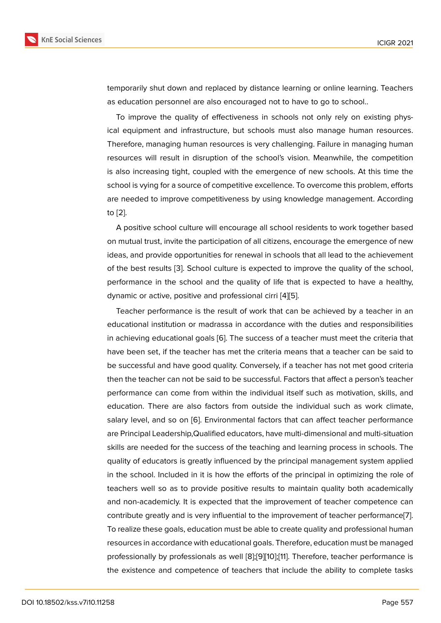temporarily shut down and replaced by distance learning or online learning. Teachers as education personnel are also encouraged not to have to go to school..

To improve the quality of effectiveness in schools not only rely on existing physical equipment and infrastructure, but schools must also manage human resources. Therefore, managing human resources is very challenging. Failure in managing human resources will result in disruption of the school's vision. Meanwhile, the competition is also increasing tight, coupled with the emergence of new schools. At this time the school is vying for a source of competitive excellence. To overcome this problem, efforts are needed to improve competitiveness by using knowledge management. According to [2].

A positive school culture will encourage all school residents to work together based on mutual trust, invite the participation of all citizens, encourage the emergence of new ide[as](#page-11-0), and provide opportunities for renewal in schools that all lead to the achievement of the best results [3]. School culture is expected to improve the quality of the school, performance in the school and the quality of life that is expected to have a healthy, dynamic or active, positive and professional cirri [4][5].

Teacher perform[an](#page-11-1)ce is the result of work that can be achieved by a teacher in an educational institution or madrassa in accordance with the duties and responsibilities in achieving educational goals [6]. The success o[f a](#page-11-2) [te](#page-11-3)acher must meet the criteria that have been set, if the teacher has met the criteria means that a teacher can be said to be successful and have good quality. Conversely, if a teacher has not met good criteria then the teacher can not be sai[d t](#page-11-4)o be successful. Factors that affect a person's teacher performance can come from within the individual itself such as motivation, skills, and education. There are also factors from outside the individual such as work climate, salary level, and so on [6]. Environmental factors that can affect teacher performance are Principal Leadership,Qualified educators, have multi-dimensional and multi-situation skills are needed for the success of the teaching and learning process in schools. The quality of educators is g[re](#page-11-4)atly influenced by the principal management system applied in the school. Included in it is how the efforts of the principal in optimizing the role of teachers well so as to provide positive results to maintain quality both academically and non-academicly. It is expected that the improvement of teacher competence can contribute greatly and is very influential to the improvement of teacher performance[7]. To realize these goals, education must be able to create quality and professional human resources in accordance with educational goals. Therefore, education must be managed professionally by professionals as well [8];[9][10];[11]. Therefore, teacher performance [i](#page-11-5)s the existence and competence of teachers that include the ability to complete tasks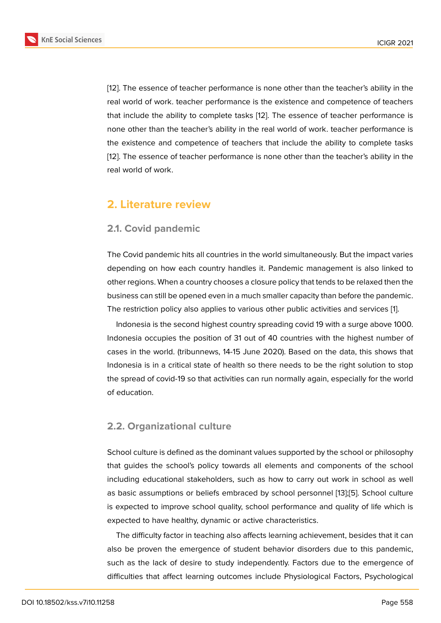[12]. The essence of teacher performance is none other than the teacher's ability in the real world of work. teacher performance is the existence and competence of teachers that include the ability to complete tasks [12]. The essence of teacher performance is [non](#page-11-6)e other than the teacher's ability in the real world of work. teacher performance is the existence and competence of teachers that include the ability to complete tasks [12]. The essence of teacher performance i[s n](#page-11-6)one other than the teacher's ability in the real world of work.

### **2. Literature review**

#### **2.1. Covid pandemic**

The Covid pandemic hits all countries in the world simultaneously. But the impact varies depending on how each country handles it. Pandemic management is also linked to other regions. When a country chooses a closure policy that tends to be relaxed then the business can still be opened even in a much smaller capacity than before the pandemic. The restriction policy also applies to various other public activities and services [1].

Indonesia is the second highest country spreading covid 19 with a surge above 1000. Indonesia occupies the position of 31 out of 40 countries with the highest number of cases in the world. (tribunnews, 14-15 June 2020). Based on the data, this sho[ws](#page-11-7) that Indonesia is in a critical state of health so there needs to be the right solution to stop the spread of covid-19 so that activities can run normally again, especially for the world of education.

### **2.2. Organizational culture**

School culture is defined as the dominant values supported by the school or philosophy that guides the school's policy towards all elements and components of the school including educational stakeholders, such as how to carry out work in school as well as basic assumptions or beliefs embraced by school personnel [13];[5]. School culture is expected to improve school quality, school performance and quality of life which is expected to have healthy, dynamic or active characteristics.

The difficulty factor in teaching also affects learning achievem[ent](#page-11-8), [be](#page-11-3)sides that it can also be proven the emergence of student behavior disorders due to this pandemic, such as the lack of desire to study independently. Factors due to the emergence of difficulties that affect learning outcomes include Physiological Factors, Psychological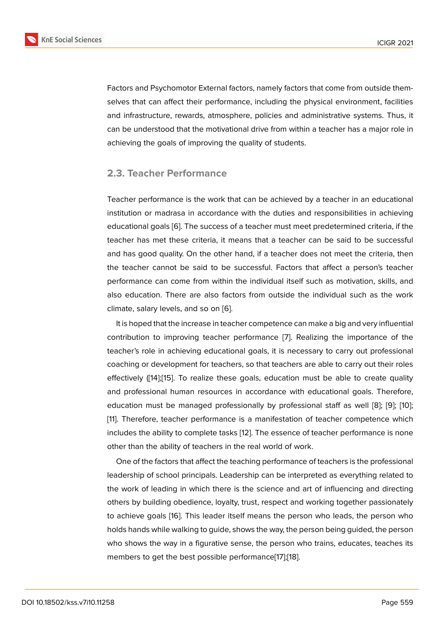Factors and Psychomotor External factors, namely factors that come from outside themselves that can affect their performance, including the physical environment, facilities and infrastructure, rewards, atmosphere, policies and administrative systems. Thus, it can be understood that the motivational drive from within a teacher has a major role in achieving the goals of improving the quality of students.

#### **2.3. Teacher Performance**

Teacher performance is the work that can be achieved by a teacher in an educational institution or madrasa in accordance with the duties and responsibilities in achieving educational goals [6]. The success of a teacher must meet predetermined criteria, if the teacher has met these criteria, it means that a teacher can be said to be successful and has good quality. On the other hand, if a teacher does not meet the criteria, then the teacher cann[ot](#page-11-4) be said to be successful. Factors that affect a person's teacher performance can come from within the individual itself such as motivation, skills, and also education. There are also factors from outside the individual such as the work climate, salary levels, and so on [6].

It is hoped that the increase in teacher competence can make a big and very influential contribution to improving teacher performance [7]. Realizing the importance of the teacher's role in achieving educ[ati](#page-11-4)onal goals, it is necessary to carry out professional coaching or development for teachers, so that teachers are able to carry out their roles effectively ([14];[15]. To realize these goals, educ[ati](#page-11-5)on must be able to create quality and professional human resources in accordance with educational goals. Therefore, education must be managed professionally by professional staff as well [8]; [9]; [10]; [11]. Therefo[re,](#page-11-9) t[ea](#page-11-10)cher performance is a manifestation of teacher competence which includes the ability to complete tasks [12]. The essence of teacher performance is none other than the ability of teachers in the real world of work.

One of the factors that affect the teaching performance of teachers is the professional leadership of school principals. Lead[ersh](#page-11-6)ip can be interpreted as everything related to the work of leading in which there is the science and art of influencing and directing others by building obedience, loyalty, trust, respect and working together passionately to achieve goals [16]. This leader itself means the person who leads, the person who holds hands while walking to guide, shows the way, the person being guided, the person who shows the way in a figurative sense, the person who trains, educates, teaches its members to get t[he](#page-12-0) best possible performance[17];[18].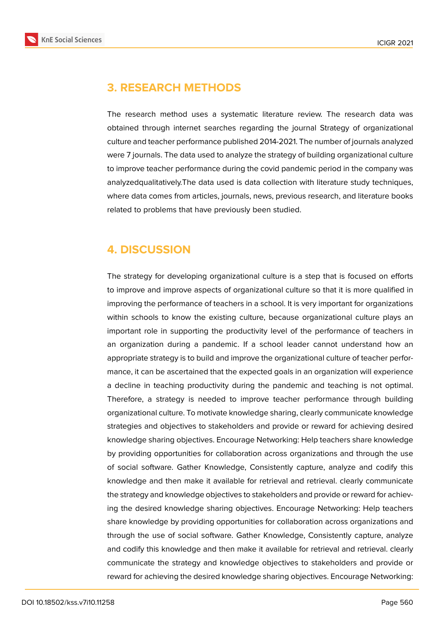## **3. RESEARCH METHODS**

The research method uses a systematic literature review. The research data was obtained through internet searches regarding the journal Strategy of organizational culture and teacher performance published 2014-2021. The number of journals analyzed were 7 journals. The data used to analyze the strategy of building organizational culture to improve teacher performance during the covid pandemic period in the company was analyzedqualitatively.The data used is data collection with literature study techniques, where data comes from articles, journals, news, previous research, and literature books related to problems that have previously been studied.

## **4. DISCUSSION**

The strategy for developing organizational culture is a step that is focused on efforts to improve and improve aspects of organizational culture so that it is more qualified in improving the performance of teachers in a school. It is very important for organizations within schools to know the existing culture, because organizational culture plays an important role in supporting the productivity level of the performance of teachers in an organization during a pandemic. If a school leader cannot understand how an appropriate strategy is to build and improve the organizational culture of teacher performance, it can be ascertained that the expected goals in an organization will experience a decline in teaching productivity during the pandemic and teaching is not optimal. Therefore, a strategy is needed to improve teacher performance through building organizational culture. To motivate knowledge sharing, clearly communicate knowledge strategies and objectives to stakeholders and provide or reward for achieving desired knowledge sharing objectives. Encourage Networking: Help teachers share knowledge by providing opportunities for collaboration across organizations and through the use of social software. Gather Knowledge, Consistently capture, analyze and codify this knowledge and then make it available for retrieval and retrieval. clearly communicate the strategy and knowledge objectives to stakeholders and provide or reward for achieving the desired knowledge sharing objectives. Encourage Networking: Help teachers share knowledge by providing opportunities for collaboration across organizations and through the use of social software. Gather Knowledge, Consistently capture, analyze and codify this knowledge and then make it available for retrieval and retrieval. clearly communicate the strategy and knowledge objectives to stakeholders and provide or reward for achieving the desired knowledge sharing objectives. Encourage Networking: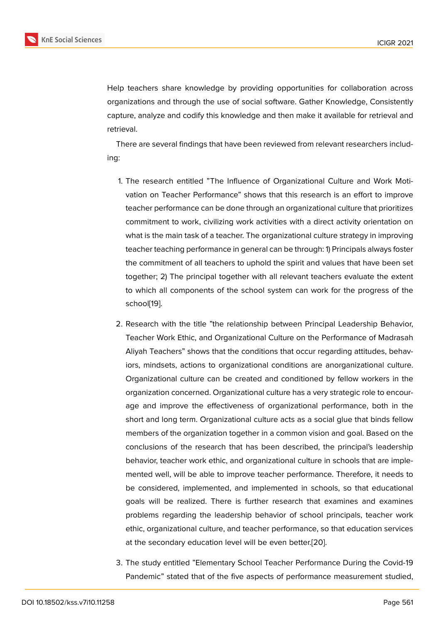Help teachers share knowledge by providing opportunities for collaboration across organizations and through the use of social software. Gather Knowledge, Consistently capture, analyze and codify this knowledge and then make it available for retrieval and retrieval.

There are several findings that have been reviewed from relevant researchers including:

- 1. The research entitled "The Influence of Organizational Culture and Work Motivation on Teacher Performance" shows that this research is an effort to improve teacher performance can be done through an organizational culture that prioritizes commitment to work, civilizing work activities with a direct activity orientation on what is the main task of a teacher. The organizational culture strategy in improving teacher teaching performance in general can be through: 1) Principals always foster the commitment of all teachers to uphold the spirit and values that have been set together; 2) The principal together with all relevant teachers evaluate the extent to which all components of the school system can work for the progress of the school[19].
- 2. Research with the title "the relationship between Principal Leadership Behavior, Teach[er W](#page-12-1)ork Ethic, and Organizational Culture on the Performance of Madrasah Aliyah Teachers" shows that the conditions that occur regarding attitudes, behaviors, mindsets, actions to organizational conditions are anorganizational culture. Organizational culture can be created and conditioned by fellow workers in the organization concerned. Organizational culture has a very strategic role to encourage and improve the effectiveness of organizational performance, both in the short and long term. Organizational culture acts as a social glue that binds fellow members of the organization together in a common vision and goal. Based on the conclusions of the research that has been described, the principal's leadership behavior, teacher work ethic, and organizational culture in schools that are implemented well, will be able to improve teacher performance. Therefore, it needs to be considered, implemented, and implemented in schools, so that educational goals will be realized. There is further research that examines and examines problems regarding the leadership behavior of school principals, teacher work ethic, organizational culture, and teacher performance, so that education services at the secondary education level will be even better.[20].
- 3. The study entitled "Elementary School Teacher Performance During the Covid-19 Pandemic" stated that of the five aspects of perfor[manc](#page-12-2)e measurement studied,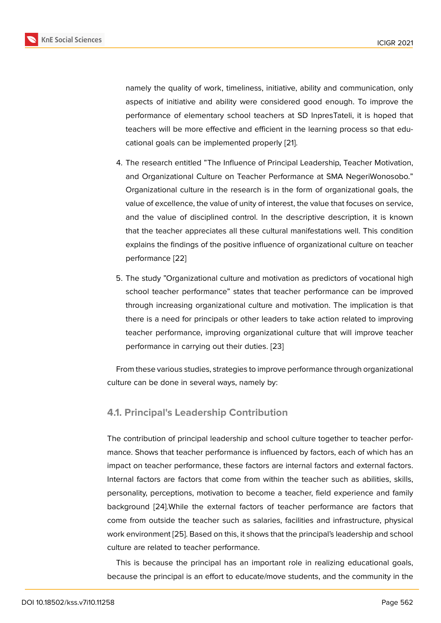namely the quality of work, timeliness, initiative, ability and communication, only aspects of initiative and ability were considered good enough. To improve the performance of elementary school teachers at SD InpresTateli, it is hoped that teachers will be more effective and efficient in the learning process so that educational goals can be implemented properly [21].

- 4. The research entitled "The Influence of Principal Leadership, Teacher Motivation, and Organizational Culture on Teacher Perf[orm](#page-12-3)ance at SMA NegeriWonosobo." Organizational culture in the research is in the form of organizational goals, the value of excellence, the value of unity of interest, the value that focuses on service, and the value of disciplined control. In the descriptive description, it is known that the teacher appreciates all these cultural manifestations well. This condition explains the findings of the positive influence of organizational culture on teacher performance [22]
- 5. The study "Organizational culture and motivation as predictors of vocational high school teach[er p](#page-12-4)erformance" states that teacher performance can be improved through increasing organizational culture and motivation. The implication is that there is a need for principals or other leaders to take action related to improving teacher performance, improving organizational culture that will improve teacher performance in carrying out their duties. [23]

From these various studies, strategies to improve performance through organizational culture can be done in several ways, namely b[y:](#page-12-5)

### **4.1. Principal's Leadership Contribution**

The contribution of principal leadership and school culture together to teacher performance. Shows that teacher performance is influenced by factors, each of which has an impact on teacher performance, these factors are internal factors and external factors. Internal factors are factors that come from within the teacher such as abilities, skills, personality, perceptions, motivation to become a teacher, field experience and family background [24].While the external factors of teacher performance are factors that come from outside the teacher such as salaries, facilities and infrastructure, physical work environment [25]. Based on this, it shows that the principal's leadership and school culture are re[late](#page-12-6)d to teacher performance.

This is because the principal has an important role in realizing educational goals, because the princi[pal](#page-12-7) is an effort to educate/move students, and the community in the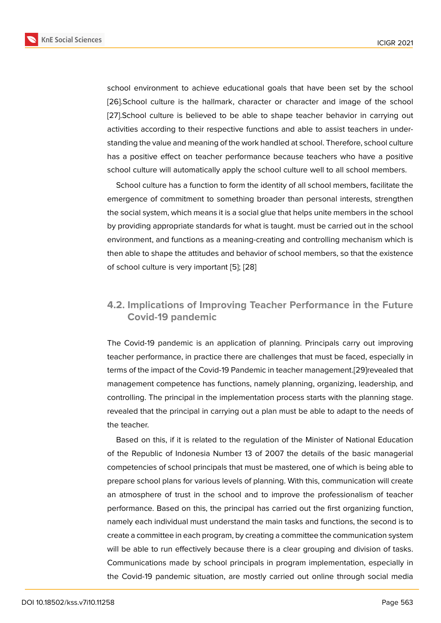school environment to achieve educational goals that have been set by the school [26].School culture is the hallmark, character or character and image of the school [27].School culture is believed to be able to shape teacher behavior in carrying out activities according to their respective functions and able to assist teachers in under[stan](#page-12-8)ding the value and meaning of the work handled at school. Therefore, school culture [has](#page-12-9) a positive effect on teacher performance because teachers who have a positive school culture will automatically apply the school culture well to all school members.

School culture has a function to form the identity of all school members, facilitate the emergence of commitment to something broader than personal interests, strengthen the social system, which means it is a social glue that helps unite members in the school by providing appropriate standards for what is taught. must be carried out in the school environment, and functions as a meaning-creating and controlling mechanism which is then able to shape the attitudes and behavior of school members, so that the existence of school culture is very important [5]; [28]

### **4.2. Implications of Improv[in](#page-11-3)[g T](#page-12-10)eacher Performance in the Future Covid-19 pandemic**

The Covid-19 pandemic is an application of planning. Principals carry out improving teacher performance, in practice there are challenges that must be faced, especially in terms of the impact of the Covid-19 Pandemic in teacher management.[29]revealed that management competence has functions, namely planning, organizing, leadership, and controlling. The principal in the implementation process starts with the planning stage. revealed that the principal in carrying out a plan must be able to adap[t to](#page-12-11) the needs of the teacher.

Based on this, if it is related to the regulation of the Minister of National Education of the Republic of Indonesia Number 13 of 2007 the details of the basic managerial competencies of school principals that must be mastered, one of which is being able to prepare school plans for various levels of planning. With this, communication will create an atmosphere of trust in the school and to improve the professionalism of teacher performance. Based on this, the principal has carried out the first organizing function, namely each individual must understand the main tasks and functions, the second is to create a committee in each program, by creating a committee the communication system will be able to run effectively because there is a clear grouping and division of tasks. Communications made by school principals in program implementation, especially in the Covid-19 pandemic situation, are mostly carried out online through social media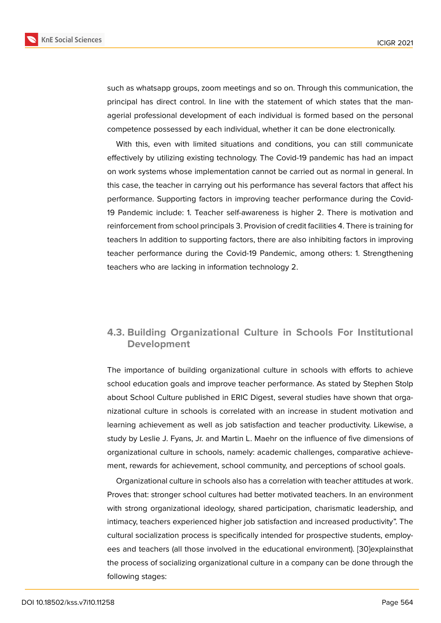such as whatsapp groups, zoom meetings and so on. Through this communication, the principal has direct control. In line with the statement of which states that the managerial professional development of each individual is formed based on the personal competence possessed by each individual, whether it can be done electronically.

With this, even with limited situations and conditions, you can still communicate effectively by utilizing existing technology. The Covid-19 pandemic has had an impact on work systems whose implementation cannot be carried out as normal in general. In this case, the teacher in carrying out his performance has several factors that affect his performance. Supporting factors in improving teacher performance during the Covid-19 Pandemic include: 1. Teacher self-awareness is higher 2. There is motivation and reinforcement from school principals 3. Provision of credit facilities 4. There is training for teachers In addition to supporting factors, there are also inhibiting factors in improving teacher performance during the Covid-19 Pandemic, among others: 1. Strengthening teachers who are lacking in information technology 2.

#### **4.3. Building Organizational Culture in Schools For Institutional Development**

The importance of building organizational culture in schools with efforts to achieve school education goals and improve teacher performance. As stated by Stephen Stolp about School Culture published in ERIC Digest, several studies have shown that organizational culture in schools is correlated with an increase in student motivation and learning achievement as well as job satisfaction and teacher productivity. Likewise, a study by Leslie J. Fyans, Jr. and Martin L. Maehr on the influence of five dimensions of organizational culture in schools, namely: academic challenges, comparative achievement, rewards for achievement, school community, and perceptions of school goals.

Organizational culture in schools also has a correlation with teacher attitudes at work. Proves that: stronger school cultures had better motivated teachers. In an environment with strong organizational ideology, shared participation, charismatic leadership, and intimacy, teachers experienced higher job satisfaction and increased productivity". The cultural socialization process is specifically intended for prospective students, employees and teachers (all those involved in the educational environment). [30]explainsthat the process of socializing organizational culture in a company can be done through the following stages: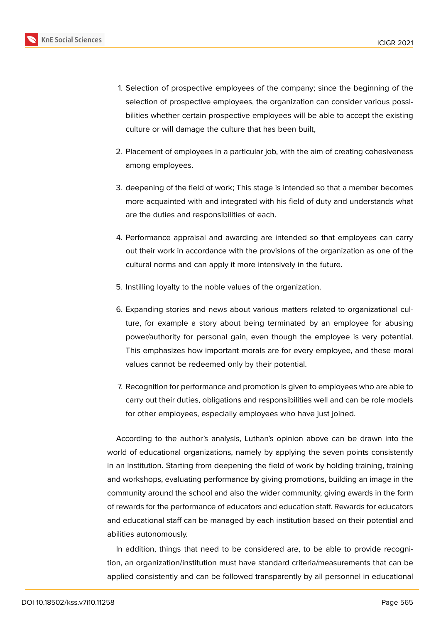- 1. Selection of prospective employees of the company; since the beginning of the selection of prospective employees, the organization can consider various possibilities whether certain prospective employees will be able to accept the existing culture or will damage the culture that has been built,
- 2. Placement of employees in a particular job, with the aim of creating cohesiveness among employees.
- 3. deepening of the field of work; This stage is intended so that a member becomes more acquainted with and integrated with his field of duty and understands what are the duties and responsibilities of each.
- 4. Performance appraisal and awarding are intended so that employees can carry out their work in accordance with the provisions of the organization as one of the cultural norms and can apply it more intensively in the future.
- 5. Instilling loyalty to the noble values of the organization.
- 6. Expanding stories and news about various matters related to organizational culture, for example a story about being terminated by an employee for abusing power/authority for personal gain, even though the employee is very potential. This emphasizes how important morals are for every employee, and these moral values cannot be redeemed only by their potential.
- 7. Recognition for performance and promotion is given to employees who are able to carry out their duties, obligations and responsibilities well and can be role models for other employees, especially employees who have just joined.

According to the author's analysis, Luthan's opinion above can be drawn into the world of educational organizations, namely by applying the seven points consistently in an institution. Starting from deepening the field of work by holding training, training and workshops, evaluating performance by giving promotions, building an image in the community around the school and also the wider community, giving awards in the form of rewards for the performance of educators and education staff. Rewards for educators and educational staff can be managed by each institution based on their potential and abilities autonomously.

In addition, things that need to be considered are, to be able to provide recognition, an organization/institution must have standard criteria/measurements that can be applied consistently and can be followed transparently by all personnel in educational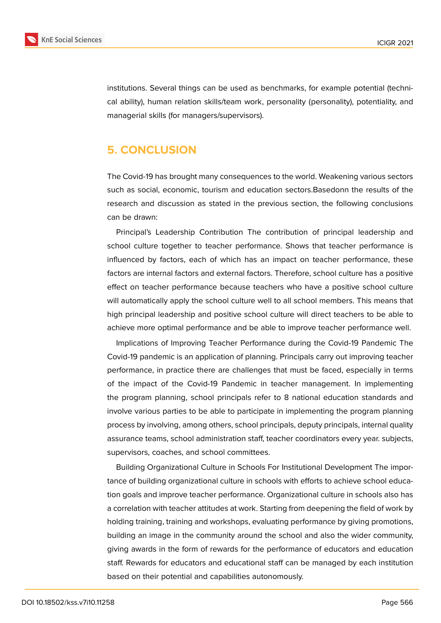

institutions. Several things can be used as benchmarks, for example potential (technical ability), human relation skills/team work, personality (personality), potentiality, and managerial skills (for managers/supervisors).

### **5. CONCLUSION**

The Covid-19 has brought many consequences to the world. Weakening various sectors such as social, economic, tourism and education sectors.Basedonn the results of the research and discussion as stated in the previous section, the following conclusions can be drawn:

Principal's Leadership Contribution The contribution of principal leadership and school culture together to teacher performance. Shows that teacher performance is influenced by factors, each of which has an impact on teacher performance, these factors are internal factors and external factors. Therefore, school culture has a positive effect on teacher performance because teachers who have a positive school culture will automatically apply the school culture well to all school members. This means that high principal leadership and positive school culture will direct teachers to be able to achieve more optimal performance and be able to improve teacher performance well.

Implications of Improving Teacher Performance during the Covid-19 Pandemic The Covid-19 pandemic is an application of planning. Principals carry out improving teacher performance, in practice there are challenges that must be faced, especially in terms of the impact of the Covid-19 Pandemic in teacher management. In implementing the program planning, school principals refer to 8 national education standards and involve various parties to be able to participate in implementing the program planning process by involving, among others, school principals, deputy principals, internal quality assurance teams, school administration staff, teacher coordinators every year. subjects, supervisors, coaches, and school committees.

Building Organizational Culture in Schools For Institutional Development The importance of building organizational culture in schools with efforts to achieve school education goals and improve teacher performance. Organizational culture in schools also has a correlation with teacher attitudes at work. Starting from deepening the field of work by holding training, training and workshops, evaluating performance by giving promotions, building an image in the community around the school and also the wider community, giving awards in the form of rewards for the performance of educators and education staff. Rewards for educators and educational staff can be managed by each institution based on their potential and capabilities autonomously.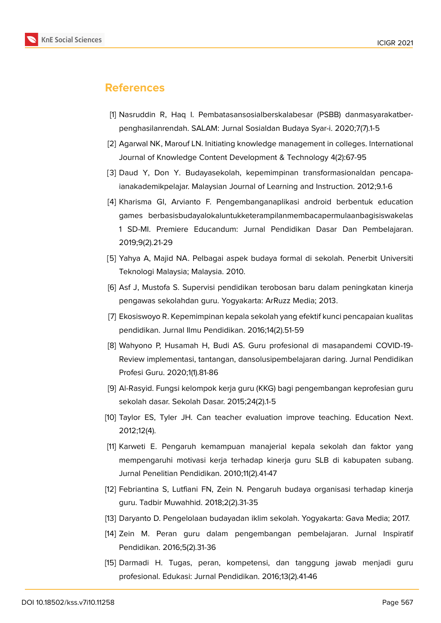

### **References**

- <span id="page-11-7"></span>[1] Nasruddin R, Haq I. Pembatasansosialberskalabesar (PSBB) danmasyarakatberpenghasilanrendah. SALAM: Jurnal Sosialdan Budaya Syar-i. 2020;7(7).1-5
- <span id="page-11-0"></span>[2] Agarwal NK, Marouf LN. Initiating knowledge management in colleges. International Journal of Knowledge Content Development & Technology 4(2):67-95
- <span id="page-11-1"></span>[3] Daud Y, Don Y. Budayasekolah, kepemimpinan transformasionaldan pencapaianakademikpelajar. Malaysian Journal of Learning and Instruction. 2012;9.1-6
- <span id="page-11-2"></span>[4] Kharisma GI, Arvianto F. Pengembanganaplikasi android berbentuk education games berbasisbudayalokaluntukketerampilanmembacapermulaanbagisiswakelas 1 SD-MI. Premiere Educandum: Jurnal Pendidikan Dasar Dan Pembelajaran. 2019;9(2).21-29
- <span id="page-11-3"></span>[5] Yahya A, Majid NA. Pelbagai aspek budaya formal di sekolah. Penerbit Universiti Teknologi Malaysia; Malaysia. 2010.
- <span id="page-11-4"></span>[6] Asf J, Mustofa S. Supervisi pendidikan terobosan baru dalam peningkatan kinerja pengawas sekolahdan guru. Yogyakarta: ArRuzz Media; 2013.
- <span id="page-11-5"></span>[7] Ekosiswoyo R. Kepemimpinan kepala sekolah yang efektif kunci pencapaian kualitas pendidikan. Jurnal Ilmu Pendidikan. 2016;14(2).51-59
- [8] Wahyono P, Husamah H, Budi AS. Guru profesional di masapandemi COVID-19- Review implementasi, tantangan, dansolusipembelajaran daring. Jurnal Pendidikan Profesi Guru. 2020;1(1).81-86
- [9] Al-Rasyid. Fungsi kelompok kerja guru (KKG) bagi pengembangan keprofesian guru sekolah dasar. Sekolah Dasar. 2015;24(2).1-5
- [10] Taylor ES, Tyler JH. Can teacher evaluation improve teaching. Education Next. 2012;12(4).
- [11] Karweti E. Pengaruh kemampuan manajerial kepala sekolah dan faktor yang mempengaruhi motivasi kerja terhadap kinerja guru SLB di kabupaten subang. Jurnal Penelitian Pendidikan. 2010;11(2).41-47
- <span id="page-11-6"></span>[12] Febriantina S, Lutfiani FN, Zein N. Pengaruh budaya organisasi terhadap kinerja guru. Tadbir Muwahhid. 2018;2(2).31-35
- <span id="page-11-9"></span><span id="page-11-8"></span>[13] Daryanto D. Pengelolaan budayadan iklim sekolah. Yogyakarta: Gava Media; 2017.
- [14] Zein M. Peran guru dalam pengembangan pembelajaran. Jurnal Inspiratif Pendidikan. 2016;5(2).31-36
- <span id="page-11-10"></span>[15] Darmadi H. Tugas, peran, kompetensi, dan tanggung jawab menjadi guru profesional. Edukasi: Jurnal Pendidikan. 2016;13(2).41-46